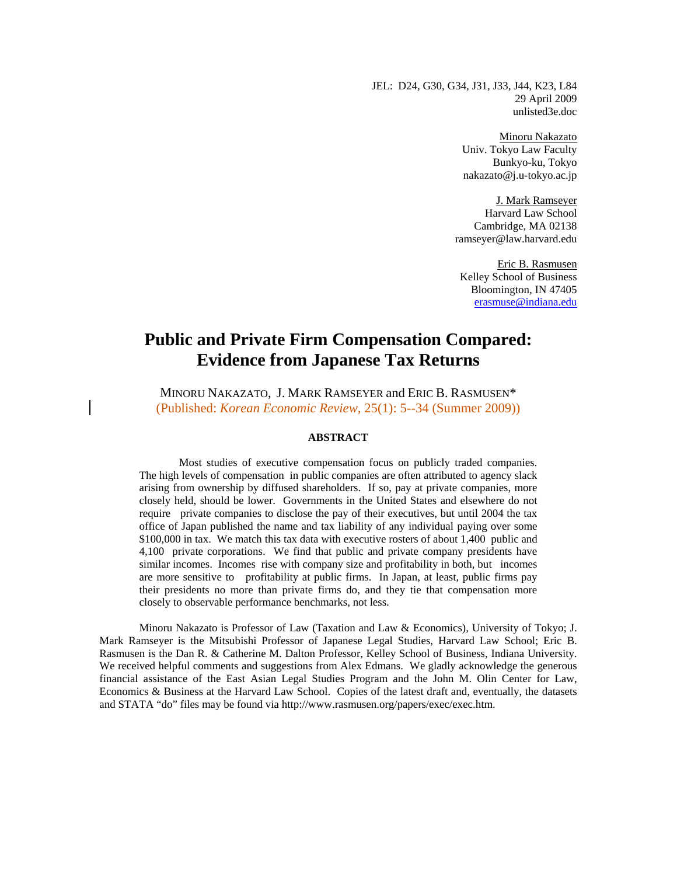JEL: D24, G30, G34, J31, J33, J44, K23, L84 29 April 2009 unlisted3e.doc

> Minoru Nakazato Univ. Tokyo Law Faculty Bunkyo-ku, Tokyo nakazato@j.u-tokyo.ac.jp

J. Mark Ramseyer Harvard Law School Cambridge, MA 02138 ramseyer@law.harvard.edu

Eric B. Rasmusen Kelley School of Business Bloomington, IN 47405 erasmuse@indiana.edu

# **Public and Private Firm Compensation Compared: Evidence from Japanese Tax Returns**

MINORU NAKAZATO, J. MARK RAMSEYER and ERIC B. RASMUSEN\* (Published: *Korean Economic Review,* 25(1): 5--34 (Summer 2009))

#### **ABSTRACT**

 Most studies of executive compensation focus on publicly traded companies. The high levels of compensation in public companies are often attributed to agency slack arising from ownership by diffused shareholders. If so, pay at private companies, more closely held, should be lower. Governments in the United States and elsewhere do not require private companies to disclose the pay of their executives, but until 2004 the tax office of Japan published the name and tax liability of any individual paying over some \$100,000 in tax. We match this tax data with executive rosters of about 1,400 public and 4,100 private corporations. We find that public and private company presidents have similar incomes. Incomes rise with company size and profitability in both, but incomes are more sensitive to profitability at public firms. In Japan, at least, public firms pay their presidents no more than private firms do, and they tie that compensation more closely to observable performance benchmarks, not less.

 Minoru Nakazato is Professor of Law (Taxation and Law & Economics), University of Tokyo; J. Mark Ramseyer is the Mitsubishi Professor of Japanese Legal Studies, Harvard Law School; Eric B. Rasmusen is the Dan R. & Catherine M. Dalton Professor, Kelley School of Business, Indiana University. We received helpful comments and suggestions from Alex Edmans. We gladly acknowledge the generous financial assistance of the East Asian Legal Studies Program and the John M. Olin Center for Law, Economics & Business at the Harvard Law School. Copies of the latest draft and, eventually, the datasets and STATA "do" files may be found via http://www.rasmusen.org/papers/exec/exec.htm.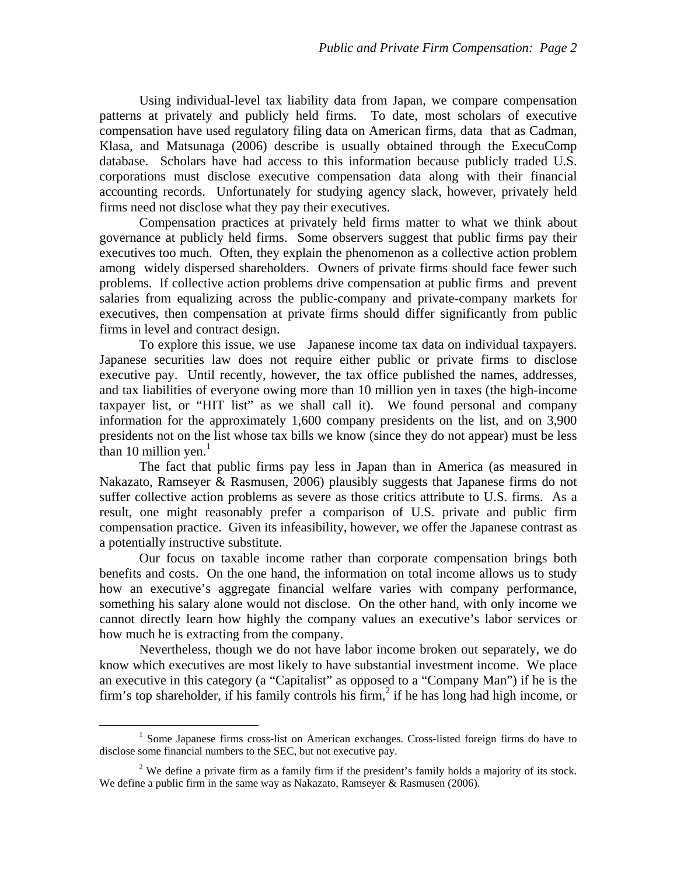Using individual-level tax liability data from Japan, we compare compensation patterns at privately and publicly held firms. To date, most scholars of executive compensation have used regulatory filing data on American firms, data that as Cadman, Klasa, and Matsunaga (2006) describe is usually obtained through the ExecuComp database. Scholars have had access to this information because publicly traded U.S. corporations must disclose executive compensation data along with their financial accounting records. Unfortunately for studying agency slack, however, privately held firms need not disclose what they pay their executives.

 Compensation practices at privately held firms matter to what we think about governance at publicly held firms. Some observers suggest that public firms pay their executives too much. Often, they explain the phenomenon as a collective action problem among widely dispersed shareholders. Owners of private firms should face fewer such problems. If collective action problems drive compensation at public firms and prevent salaries from equalizing across the public-company and private-company markets for executives, then compensation at private firms should differ significantly from public firms in level and contract design.

 To explore this issue, we use Japanese income tax data on individual taxpayers. Japanese securities law does not require either public or private firms to disclose executive pay. Until recently, however, the tax office published the names, addresses, and tax liabilities of everyone owing more than 10 million yen in taxes (the high-income taxpayer list, or "HIT list" as we shall call it). We found personal and company information for the approximately 1,600 company presidents on the list, and on 3,900 presidents not on the list whose tax bills we know (since they do not appear) must be less than 10 million yen. $<sup>1</sup>$ </sup>

 The fact that public firms pay less in Japan than in America (as measured in Nakazato, Ramseyer & Rasmusen, 2006) plausibly suggests that Japanese firms do not suffer collective action problems as severe as those critics attribute to U.S. firms. As a result, one might reasonably prefer a comparison of U.S. private and public firm compensation practice. Given its infeasibility, however, we offer the Japanese contrast as a potentially instructive substitute.

 Our focus on taxable income rather than corporate compensation brings both benefits and costs. On the one hand, the information on total income allows us to study how an executive's aggregate financial welfare varies with company performance, something his salary alone would not disclose. On the other hand, with only income we cannot directly learn how highly the company values an executive's labor services or how much he is extracting from the company.

 Nevertheless, though we do not have labor income broken out separately, we do know which executives are most likely to have substantial investment income. We place an executive in this category (a "Capitalist" as opposed to a "Company Man") if he is the firm's top shareholder, if his family controls his firm,<sup>2</sup> if he has long had high income, or

 $\frac{1}{1}$  $<sup>1</sup>$  Some Japanese firms cross-list on American exchanges. Cross-listed foreign firms do have to</sup> disclose some financial numbers to the SEC, but not executive pay.

<sup>&</sup>lt;sup>2</sup> We define a private firm as a family firm if the president's family holds a majority of its stock. We define a public firm in the same way as Nakazato, Ramseyer & Rasmusen (2006).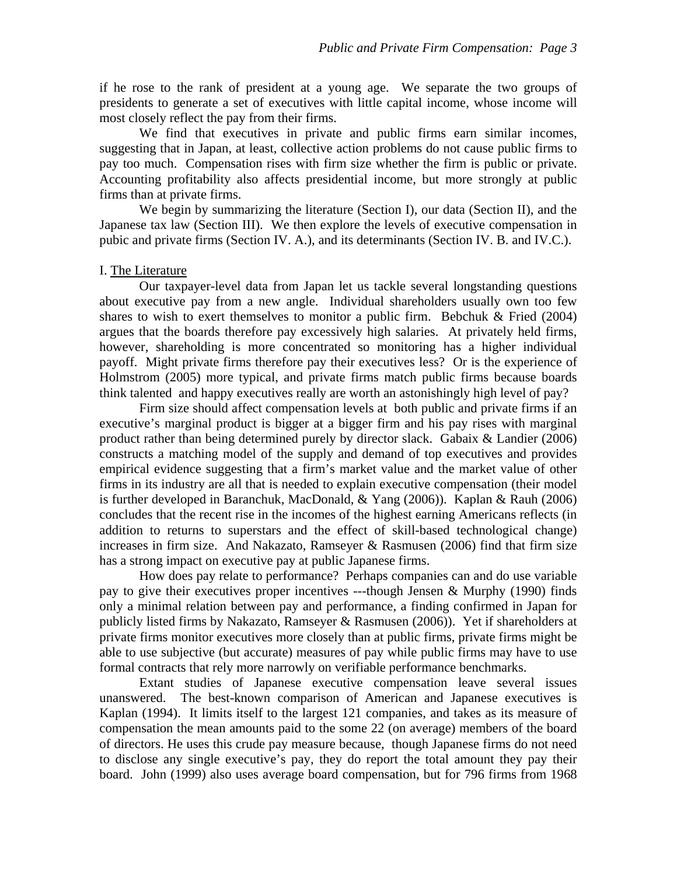if he rose to the rank of president at a young age. We separate the two groups of presidents to generate a set of executives with little capital income, whose income will most closely reflect the pay from their firms.

 We find that executives in private and public firms earn similar incomes, suggesting that in Japan, at least, collective action problems do not cause public firms to pay too much. Compensation rises with firm size whether the firm is public or private. Accounting profitability also affects presidential income, but more strongly at public firms than at private firms.

We begin by summarizing the literature (Section I), our data (Section II), and the Japanese tax law (Section III). We then explore the levels of executive compensation in pubic and private firms (Section IV. A.), and its determinants (Section IV. B. and IV.C.).

#### I. The Literature

 Our taxpayer-level data from Japan let us tackle several longstanding questions about executive pay from a new angle. Individual shareholders usually own too few shares to wish to exert themselves to monitor a public firm. Bebchuk  $&$  Fried (2004) argues that the boards therefore pay excessively high salaries. At privately held firms, however, shareholding is more concentrated so monitoring has a higher individual payoff. Might private firms therefore pay their executives less? Or is the experience of Holmstrom (2005) more typical, and private firms match public firms because boards think talented and happy executives really are worth an astonishingly high level of pay?

 Firm size should affect compensation levels at both public and private firms if an executive's marginal product is bigger at a bigger firm and his pay rises with marginal product rather than being determined purely by director slack. Gabaix & Landier (2006) constructs a matching model of the supply and demand of top executives and provides empirical evidence suggesting that a firm's market value and the market value of other firms in its industry are all that is needed to explain executive compensation (their model is further developed in Baranchuk, MacDonald, & Yang (2006)). Kaplan & Rauh (2006) concludes that the recent rise in the incomes of the highest earning Americans reflects (in addition to returns to superstars and the effect of skill-based technological change) increases in firm size. And Nakazato, Ramseyer & Rasmusen (2006) find that firm size has a strong impact on executive pay at public Japanese firms.

 How does pay relate to performance? Perhaps companies can and do use variable pay to give their executives proper incentives ---though Jensen & Murphy (1990) finds only a minimal relation between pay and performance, a finding confirmed in Japan for publicly listed firms by Nakazato, Ramseyer & Rasmusen (2006)). Yet if shareholders at private firms monitor executives more closely than at public firms, private firms might be able to use subjective (but accurate) measures of pay while public firms may have to use formal contracts that rely more narrowly on verifiable performance benchmarks.

 Extant studies of Japanese executive compensation leave several issues unanswered. The best-known comparison of American and Japanese executives is Kaplan (1994). It limits itself to the largest 121 companies, and takes as its measure of compensation the mean amounts paid to the some 22 (on average) members of the board of directors. He uses this crude pay measure because, though Japanese firms do not need to disclose any single executive's pay, they do report the total amount they pay their board. John (1999) also uses average board compensation, but for 796 firms from 1968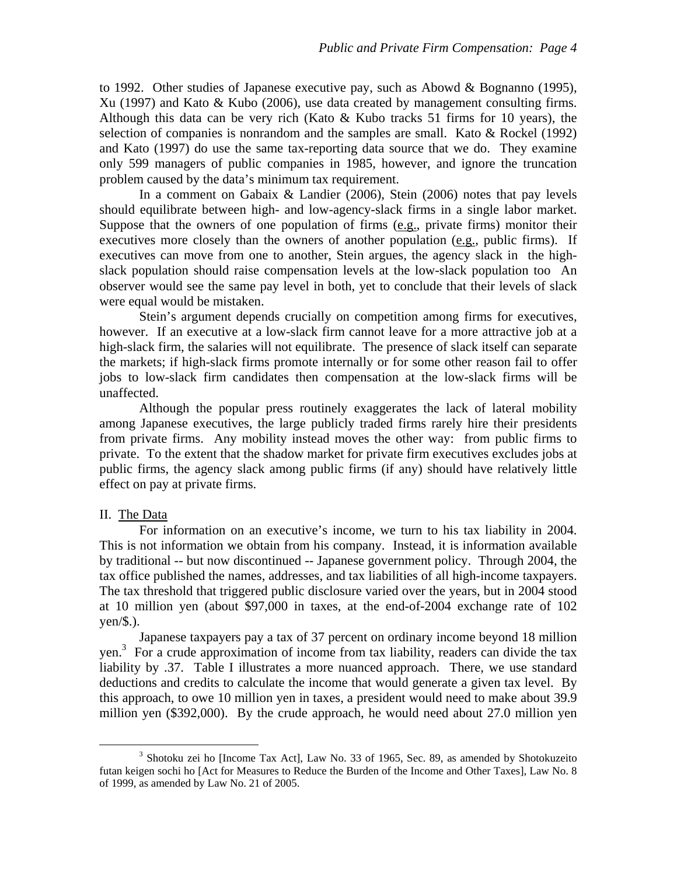to 1992. Other studies of Japanese executive pay, such as Abowd & Bognanno (1995), Xu (1997) and Kato & Kubo (2006), use data created by management consulting firms. Although this data can be very rich (Kato  $&$  Kubo tracks 51 firms for 10 years), the selection of companies is nonrandom and the samples are small. Kato & Rockel (1992) and Kato (1997) do use the same tax-reporting data source that we do. They examine only 599 managers of public companies in 1985, however, and ignore the truncation problem caused by the data's minimum tax requirement.

 In a comment on Gabaix & Landier (2006), Stein (2006) notes that pay levels should equilibrate between high- and low-agency-slack firms in a single labor market. Suppose that the owners of one population of firms (e.g., private firms) monitor their executives more closely than the owners of another population (e.g., public firms). If executives can move from one to another, Stein argues, the agency slack in the highslack population should raise compensation levels at the low-slack population too An observer would see the same pay level in both, yet to conclude that their levels of slack were equal would be mistaken.

 Stein's argument depends crucially on competition among firms for executives, however. If an executive at a low-slack firm cannot leave for a more attractive job at a high-slack firm, the salaries will not equilibrate. The presence of slack itself can separate the markets; if high-slack firms promote internally or for some other reason fail to offer jobs to low-slack firm candidates then compensation at the low-slack firms will be unaffected.

 Although the popular press routinely exaggerates the lack of lateral mobility among Japanese executives, the large publicly traded firms rarely hire their presidents from private firms. Any mobility instead moves the other way: from public firms to private. To the extent that the shadow market for private firm executives excludes jobs at public firms, the agency slack among public firms (if any) should have relatively little effect on pay at private firms.

#### II. The Data

For information on an executive's income, we turn to his tax liability in 2004. This is not information we obtain from his company. Instead, it is information available by traditional -- but now discontinued -- Japanese government policy. Through 2004, the tax office published the names, addresses, and tax liabilities of all high-income taxpayers. The tax threshold that triggered public disclosure varied over the years, but in 2004 stood at 10 million yen (about \$97,000 in taxes, at the end-of-2004 exchange rate of 102 yen/\$.).

 Japanese taxpayers pay a tax of 37 percent on ordinary income beyond 18 million yen.<sup>3</sup> For a crude approximation of income from tax liability, readers can divide the tax liability by .37. Table I illustrates a more nuanced approach. There, we use standard deductions and credits to calculate the income that would generate a given tax level. By this approach, to owe 10 million yen in taxes, a president would need to make about 39.9 million yen (\$392,000). By the crude approach, he would need about 27.0 million yen

<sup>3</sup> <sup>3</sup> Shotoku zei ho [Income Tax Act], Law No. 33 of 1965, Sec. 89, as amended by Shotokuzeito futan keigen sochi ho [Act for Measures to Reduce the Burden of the Income and Other Taxes], Law No. 8 of 1999, as amended by Law No. 21 of 2005.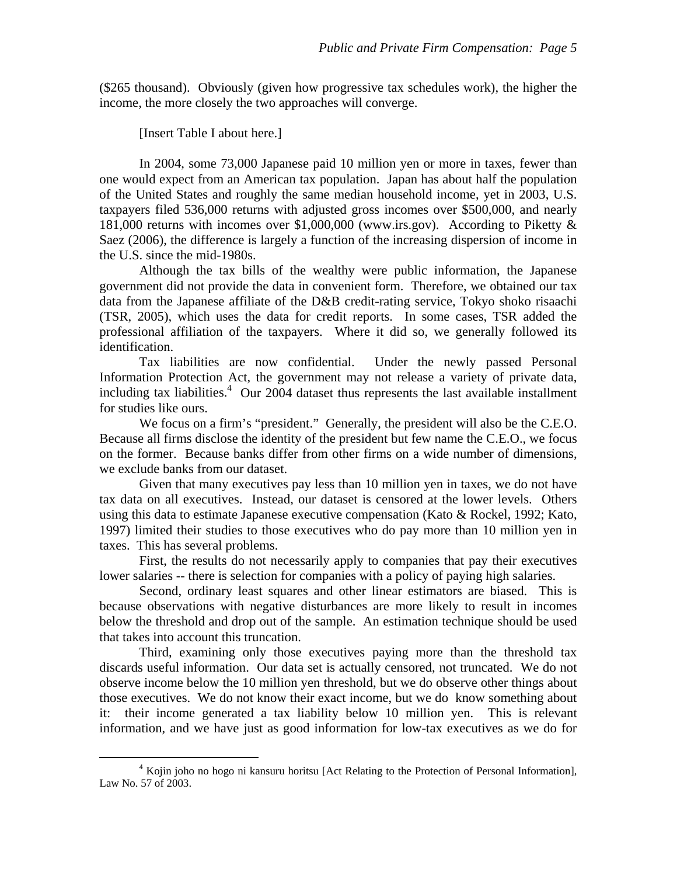(\$265 thousand). Obviously (given how progressive tax schedules work), the higher the income, the more closely the two approaches will converge.

[Insert Table I about here.]

 In 2004, some 73,000 Japanese paid 10 million yen or more in taxes, fewer than one would expect from an American tax population. Japan has about half the population of the United States and roughly the same median household income, yet in 2003, U.S. taxpayers filed 536,000 returns with adjusted gross incomes over \$500,000, and nearly 181,000 returns with incomes over \$1,000,000 (www.irs.gov). According to Piketty & Saez (2006), the difference is largely a function of the increasing dispersion of income in the U.S. since the mid-1980s.

 Although the tax bills of the wealthy were public information, the Japanese government did not provide the data in convenient form. Therefore, we obtained our tax data from the Japanese affiliate of the D&B credit-rating service, Tokyo shoko risaachi (TSR, 2005), which uses the data for credit reports. In some cases, TSR added the professional affiliation of the taxpayers. Where it did so, we generally followed its identification.

 Tax liabilities are now confidential. Under the newly passed Personal Information Protection Act, the government may not release a variety of private data, including tax liabilities.<sup>4</sup> Our 2004 dataset thus represents the last available installment for studies like ours.

 We focus on a firm's "president." Generally, the president will also be the C.E.O. Because all firms disclose the identity of the president but few name the C.E.O., we focus on the former. Because banks differ from other firms on a wide number of dimensions, we exclude banks from our dataset.

 Given that many executives pay less than 10 million yen in taxes, we do not have tax data on all executives. Instead, our dataset is censored at the lower levels. Others using this data to estimate Japanese executive compensation (Kato & Rockel, 1992; Kato, 1997) limited their studies to those executives who do pay more than 10 million yen in taxes. This has several problems.

 First, the results do not necessarily apply to companies that pay their executives lower salaries -- there is selection for companies with a policy of paying high salaries.

 Second, ordinary least squares and other linear estimators are biased. This is because observations with negative disturbances are more likely to result in incomes below the threshold and drop out of the sample. An estimation technique should be used that takes into account this truncation.

 Third, examining only those executives paying more than the threshold tax discards useful information. Our data set is actually censored, not truncated. We do not observe income below the 10 million yen threshold, but we do observe other things about those executives. We do not know their exact income, but we do know something about it: their income generated a tax liability below 10 million yen. This is relevant information, and we have just as good information for low-tax executives as we do for

 $\frac{1}{4}$ <sup>4</sup> Kojin joho no hogo ni kansuru horitsu [Act Relating to the Protection of Personal Information], Law No. 57 of 2003.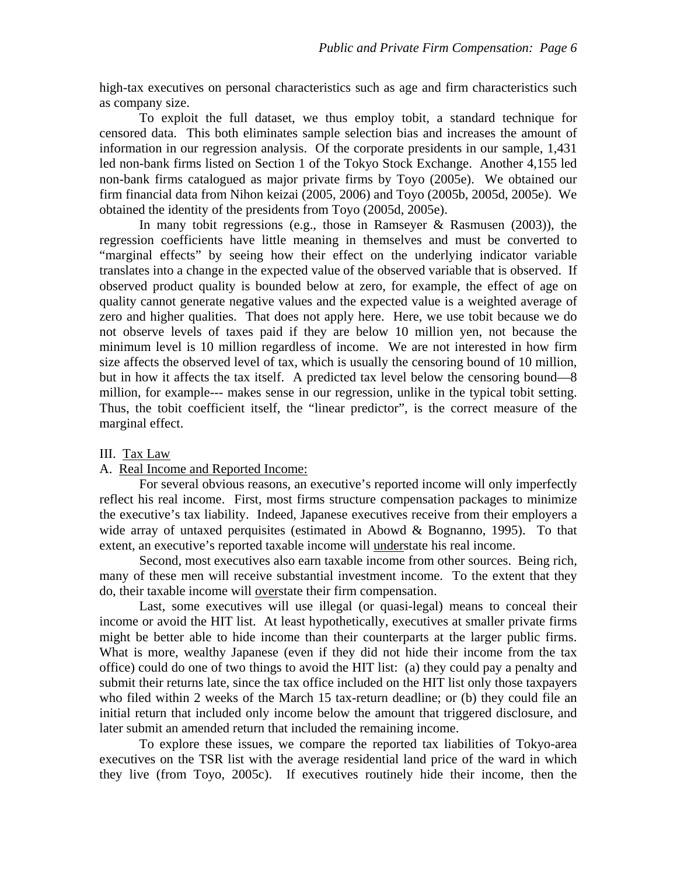high-tax executives on personal characteristics such as age and firm characteristics such as company size.

 To exploit the full dataset, we thus employ tobit, a standard technique for censored data. This both eliminates sample selection bias and increases the amount of information in our regression analysis. Of the corporate presidents in our sample, 1,431 led non-bank firms listed on Section 1 of the Tokyo Stock Exchange. Another 4,155 led non-bank firms catalogued as major private firms by Toyo (2005e). We obtained our firm financial data from Nihon keizai (2005, 2006) and Toyo (2005b, 2005d, 2005e). We obtained the identity of the presidents from Toyo (2005d, 2005e).

In many tobit regressions (e.g., those in Ramseyer & Rasmusen (2003)), the regression coefficients have little meaning in themselves and must be converted to "marginal effects" by seeing how their effect on the underlying indicator variable translates into a change in the expected value of the observed variable that is observed. If observed product quality is bounded below at zero, for example, the effect of age on quality cannot generate negative values and the expected value is a weighted average of zero and higher qualities. That does not apply here. Here, we use tobit because we do not observe levels of taxes paid if they are below 10 million yen, not because the minimum level is 10 million regardless of income. We are not interested in how firm size affects the observed level of tax, which is usually the censoring bound of 10 million, but in how it affects the tax itself. A predicted tax level below the censoring bound—8 million, for example--- makes sense in our regression, unlike in the typical tobit setting. Thus, the tobit coefficient itself, the "linear predictor", is the correct measure of the marginal effect.

### III. Tax Law

#### A. Real Income and Reported Income:

 For several obvious reasons, an executive's reported income will only imperfectly reflect his real income. First, most firms structure compensation packages to minimize the executive's tax liability. Indeed, Japanese executives receive from their employers a wide array of untaxed perquisites (estimated in Abowd & Bognanno, 1995). To that extent, an executive's reported taxable income will understate his real income.

 Second, most executives also earn taxable income from other sources. Being rich, many of these men will receive substantial investment income. To the extent that they do, their taxable income will overstate their firm compensation.

 Last, some executives will use illegal (or quasi-legal) means to conceal their income or avoid the HIT list. At least hypothetically, executives at smaller private firms might be better able to hide income than their counterparts at the larger public firms. What is more, wealthy Japanese (even if they did not hide their income from the tax office) could do one of two things to avoid the HIT list: (a) they could pay a penalty and submit their returns late, since the tax office included on the HIT list only those taxpayers who filed within 2 weeks of the March 15 tax-return deadline; or (b) they could file an initial return that included only income below the amount that triggered disclosure, and later submit an amended return that included the remaining income.

 To explore these issues, we compare the reported tax liabilities of Tokyo-area executives on the TSR list with the average residential land price of the ward in which they live (from Toyo, 2005c). If executives routinely hide their income, then the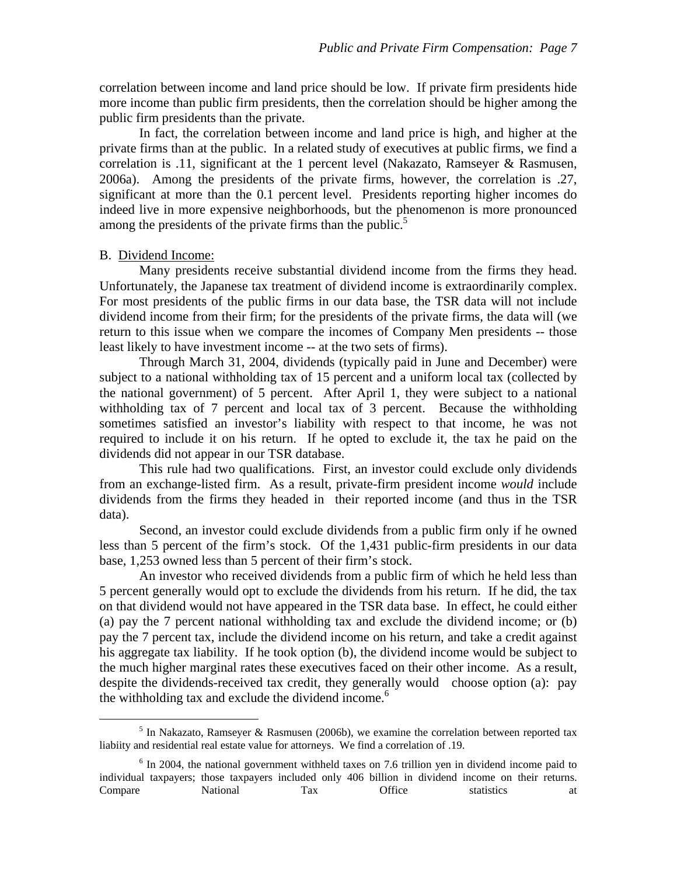correlation between income and land price should be low. If private firm presidents hide more income than public firm presidents, then the correlation should be higher among the public firm presidents than the private.

 In fact, the correlation between income and land price is high, and higher at the private firms than at the public. In a related study of executives at public firms, we find a correlation is .11, significant at the 1 percent level (Nakazato, Ramseyer & Rasmusen, 2006a). Among the presidents of the private firms, however, the correlation is .27, significant at more than the 0.1 percent level. Presidents reporting higher incomes do indeed live in more expensive neighborhoods, but the phenomenon is more pronounced among the presidents of the private firms than the public.<sup>5</sup>

### B. Dividend Income:

 Many presidents receive substantial dividend income from the firms they head. Unfortunately, the Japanese tax treatment of dividend income is extraordinarily complex. For most presidents of the public firms in our data base, the TSR data will not include dividend income from their firm; for the presidents of the private firms, the data will (we return to this issue when we compare the incomes of Company Men presidents -- those least likely to have investment income -- at the two sets of firms).

 Through March 31, 2004, dividends (typically paid in June and December) were subject to a national withholding tax of 15 percent and a uniform local tax (collected by the national government) of 5 percent. After April 1, they were subject to a national withholding tax of 7 percent and local tax of 3 percent. Because the withholding sometimes satisfied an investor's liability with respect to that income, he was not required to include it on his return. If he opted to exclude it, the tax he paid on the dividends did not appear in our TSR database.

 This rule had two qualifications. First, an investor could exclude only dividends from an exchange-listed firm. As a result, private-firm president income *would* include dividends from the firms they headed in their reported income (and thus in the TSR data).

 Second, an investor could exclude dividends from a public firm only if he owned less than 5 percent of the firm's stock. Of the 1,431 public-firm presidents in our data base, 1,253 owned less than 5 percent of their firm's stock.

 An investor who received dividends from a public firm of which he held less than 5 percent generally would opt to exclude the dividends from his return. If he did, the tax on that dividend would not have appeared in the TSR data base. In effect, he could either (a) pay the 7 percent national withholding tax and exclude the dividend income; or (b) pay the 7 percent tax, include the dividend income on his return, and take a credit against his aggregate tax liability. If he took option (b), the dividend income would be subject to the much higher marginal rates these executives faced on their other income. As a result, despite the dividends-received tax credit, they generally would choose option (a): pay the withholding tax and exclude the dividend income.<sup>6</sup>

 $\frac{1}{5}$ <sup>5</sup> In Nakazato, Ramseyer & Rasmusen (2006b), we examine the correlation between reported tax liabiity and residential real estate value for attorneys. We find a correlation of .19.

<sup>&</sup>lt;sup>6</sup> In 2004, the national government withheld taxes on 7.6 trillion yen in dividend income paid to individual taxpayers; those taxpayers included only 406 billion in dividend income on their returns. Compare National Tax Office statistics at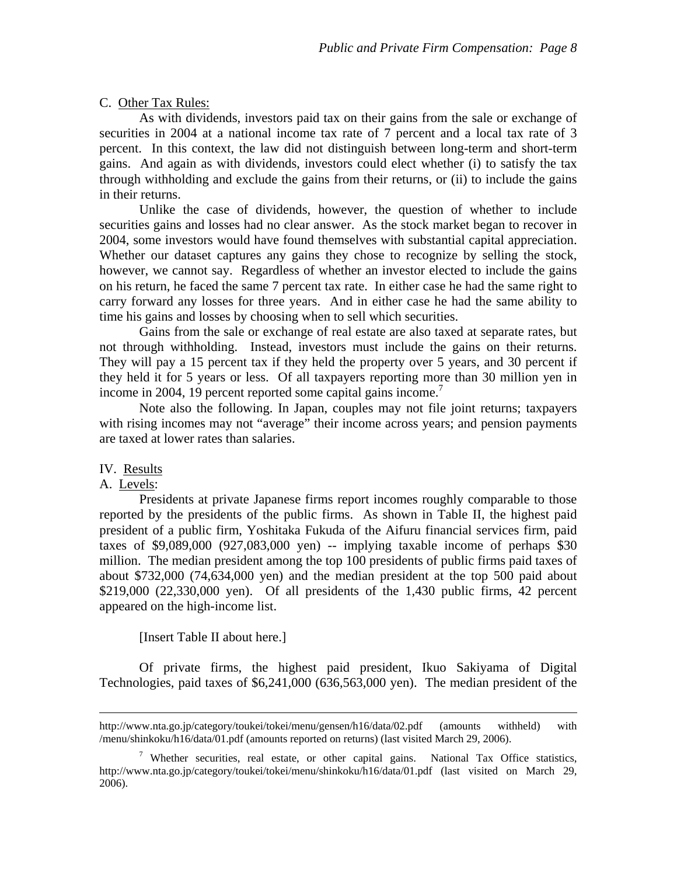### C. Other Tax Rules:

 As with dividends, investors paid tax on their gains from the sale or exchange of securities in 2004 at a national income tax rate of 7 percent and a local tax rate of 3 percent. In this context, the law did not distinguish between long-term and short-term gains. And again as with dividends, investors could elect whether (i) to satisfy the tax through withholding and exclude the gains from their returns, or (ii) to include the gains in their returns.

 Unlike the case of dividends, however, the question of whether to include securities gains and losses had no clear answer. As the stock market began to recover in 2004, some investors would have found themselves with substantial capital appreciation. Whether our dataset captures any gains they chose to recognize by selling the stock, however, we cannot say. Regardless of whether an investor elected to include the gains on his return, he faced the same 7 percent tax rate. In either case he had the same right to carry forward any losses for three years. And in either case he had the same ability to time his gains and losses by choosing when to sell which securities.

 Gains from the sale or exchange of real estate are also taxed at separate rates, but not through withholding. Instead, investors must include the gains on their returns. They will pay a 15 percent tax if they held the property over 5 years, and 30 percent if they held it for 5 years or less. Of all taxpayers reporting more than 30 million yen in income in 2004, 19 percent reported some capital gains income.<sup>7</sup>

 Note also the following. In Japan, couples may not file joint returns; taxpayers with rising incomes may not "average" their income across years; and pension payments are taxed at lower rates than salaries.

### IV. Results

### A. Levels:

i<br>Li

 Presidents at private Japanese firms report incomes roughly comparable to those reported by the presidents of the public firms. As shown in Table II, the highest paid president of a public firm, Yoshitaka Fukuda of the Aifuru financial services firm, paid taxes of  $$9,089,000$   $(927,083,000$  yen) -- implying taxable income of perhaps  $$30$ million. The median president among the top 100 presidents of public firms paid taxes of about \$732,000 (74,634,000 yen) and the median president at the top 500 paid about \$219,000 (22,330,000 yen). Of all presidents of the 1,430 public firms, 42 percent appeared on the high-income list.

#### [Insert Table II about here.]

 Of private firms, the highest paid president, Ikuo Sakiyama of Digital Technologies, paid taxes of \$6,241,000 (636,563,000 yen). The median president of the

http://www.nta.go.jp/category/toukei/tokei/menu/gensen/h16/data/02.pdf (amounts withheld) with /menu/shinkoku/h16/data/01.pdf (amounts reported on returns) (last visited March 29, 2006).

<sup>&</sup>lt;sup>7</sup> Whether securities, real estate, or other capital gains. National Tax Office statistics, http://www.nta.go.jp/category/toukei/tokei/menu/shinkoku/h16/data/01.pdf (last visited on March 29, 2006).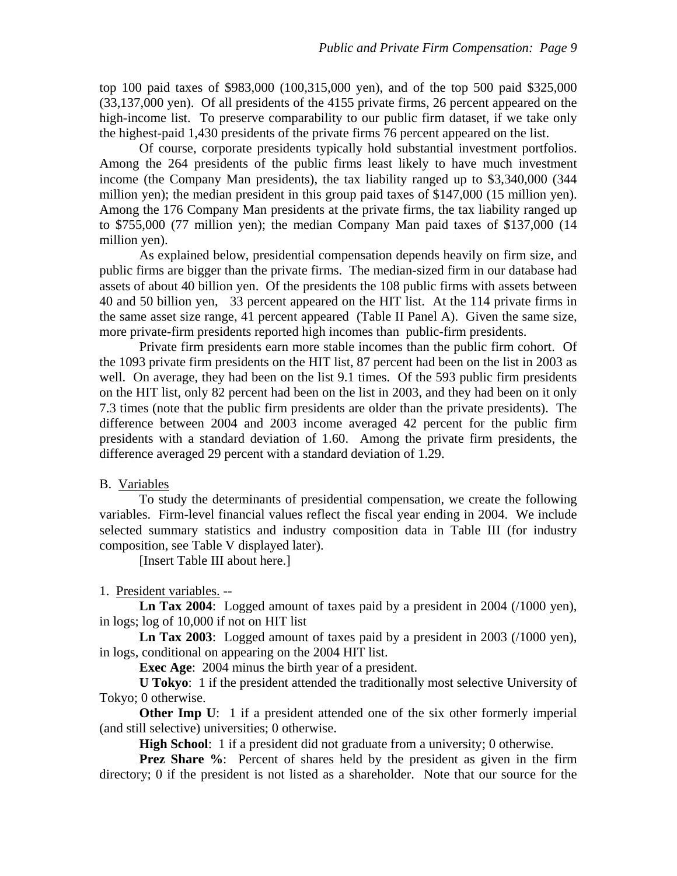top 100 paid taxes of \$983,000 (100,315,000 yen), and of the top 500 paid \$325,000 (33,137,000 yen). Of all presidents of the 4155 private firms, 26 percent appeared on the high-income list. To preserve comparability to our public firm dataset, if we take only the highest-paid 1,430 presidents of the private firms 76 percent appeared on the list.

 Of course, corporate presidents typically hold substantial investment portfolios. Among the 264 presidents of the public firms least likely to have much investment income (the Company Man presidents), the tax liability ranged up to \$3,340,000 (344 million yen); the median president in this group paid taxes of \$147,000 (15 million yen). Among the 176 Company Man presidents at the private firms, the tax liability ranged up to \$755,000 (77 million yen); the median Company Man paid taxes of \$137,000 (14 million yen).

 As explained below, presidential compensation depends heavily on firm size, and public firms are bigger than the private firms. The median-sized firm in our database had assets of about 40 billion yen. Of the presidents the 108 public firms with assets between 40 and 50 billion yen, 33 percent appeared on the HIT list. At the 114 private firms in the same asset size range, 41 percent appeared (Table II Panel A). Given the same size, more private-firm presidents reported high incomes than public-firm presidents.

 Private firm presidents earn more stable incomes than the public firm cohort. Of the 1093 private firm presidents on the HIT list, 87 percent had been on the list in 2003 as well. On average, they had been on the list 9.1 times. Of the 593 public firm presidents on the HIT list, only 82 percent had been on the list in 2003, and they had been on it only 7.3 times (note that the public firm presidents are older than the private presidents). The difference between 2004 and 2003 income averaged 42 percent for the public firm presidents with a standard deviation of 1.60. Among the private firm presidents, the difference averaged 29 percent with a standard deviation of 1.29.

#### B. Variables

 To study the determinants of presidential compensation, we create the following variables. Firm-level financial values reflect the fiscal year ending in 2004. We include selected summary statistics and industry composition data in Table III (for industry composition, see Table V displayed later).

[Insert Table III about here.]

#### 1. President variables. --

**Ln Tax 2004**: Logged amount of taxes paid by a president in 2004 (/1000 yen), in logs; log of 10,000 if not on HIT list

**Ln Tax 2003**: Logged amount of taxes paid by a president in 2003 (/1000 yen), in logs, conditional on appearing on the 2004 HIT list.

**Exec Age:** 2004 minus the birth year of a president.

**U Tokyo**: 1 if the president attended the traditionally most selective University of Tokyo; 0 otherwise.

**Other Imp U:** 1 if a president attended one of the six other formerly imperial (and still selective) universities; 0 otherwise.

**High School**: 1 if a president did not graduate from a university; 0 otherwise.

**Prez Share %:** Percent of shares held by the president as given in the firm directory; 0 if the president is not listed as a shareholder. Note that our source for the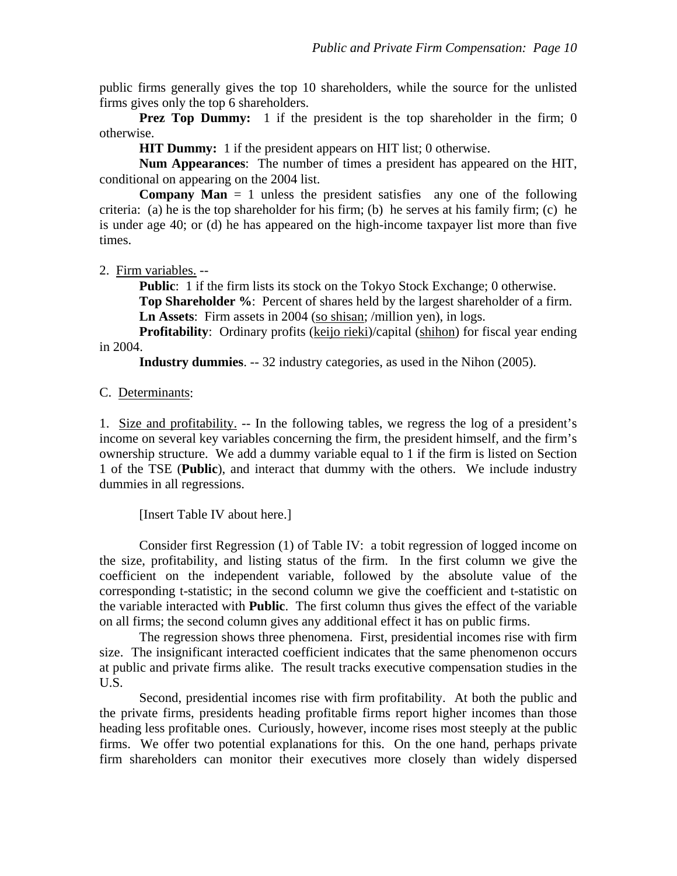public firms generally gives the top 10 shareholders, while the source for the unlisted firms gives only the top 6 shareholders.

**Prez Top Dummy:** 1 if the president is the top shareholder in the firm; 0 otherwise.

**HIT Dummy:** 1 if the president appears on HIT list; 0 otherwise.

**Num Appearances**: The number of times a president has appeared on the HIT, conditional on appearing on the 2004 list.

**Company Man**  $= 1$  unless the president satisfies any one of the following criteria: (a) he is the top shareholder for his firm; (b) he serves at his family firm; (c) he is under age 40; or (d) he has appeared on the high-income taxpayer list more than five times.

2. Firm variables. --

**Public**: 1 if the firm lists its stock on the Tokyo Stock Exchange; 0 otherwise.

**Top Shareholder %**: Percent of shares held by the largest shareholder of a firm. **Ln Assets**: Firm assets in 2004 (so shisan; /million yen), in logs.

**Profitability:** Ordinary profits (keijo rieki)/capital (shihon) for fiscal year ending in 2004.

**Industry dummies**. -- 32 industry categories, as used in the Nihon (2005).

## C. Determinants:

1. Size and profitability. -- In the following tables, we regress the log of a president's income on several key variables concerning the firm, the president himself, and the firm's ownership structure. We add a dummy variable equal to 1 if the firm is listed on Section 1 of the TSE (**Public**), and interact that dummy with the others. We include industry dummies in all regressions.

[Insert Table IV about here.]

 Consider first Regression (1) of Table IV: a tobit regression of logged income on the size, profitability, and listing status of the firm. In the first column we give the coefficient on the independent variable, followed by the absolute value of the corresponding t-statistic; in the second column we give the coefficient and t-statistic on the variable interacted with **Public**. The first column thus gives the effect of the variable on all firms; the second column gives any additional effect it has on public firms.

 The regression shows three phenomena. First, presidential incomes rise with firm size. The insignificant interacted coefficient indicates that the same phenomenon occurs at public and private firms alike. The result tracks executive compensation studies in the U.S.

 Second, presidential incomes rise with firm profitability. At both the public and the private firms, presidents heading profitable firms report higher incomes than those heading less profitable ones. Curiously, however, income rises most steeply at the public firms. We offer two potential explanations for this. On the one hand, perhaps private firm shareholders can monitor their executives more closely than widely dispersed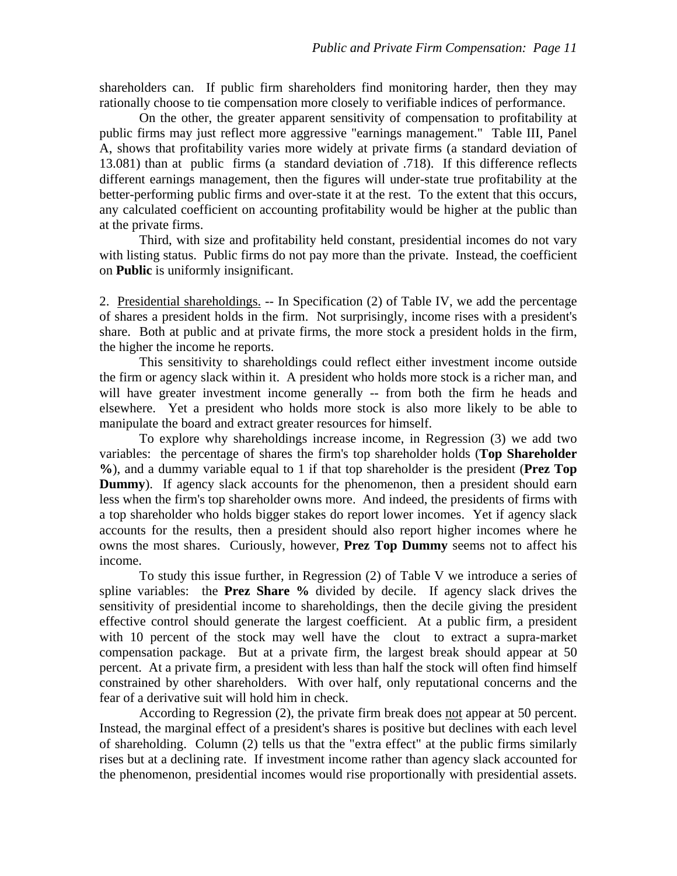shareholders can. If public firm shareholders find monitoring harder, then they may rationally choose to tie compensation more closely to verifiable indices of performance.

 On the other, the greater apparent sensitivity of compensation to profitability at public firms may just reflect more aggressive "earnings management." Table III, Panel A, shows that profitability varies more widely at private firms (a standard deviation of 13.081) than at public firms (a standard deviation of .718). If this difference reflects different earnings management, then the figures will under-state true profitability at the better-performing public firms and over-state it at the rest. To the extent that this occurs, any calculated coefficient on accounting profitability would be higher at the public than at the private firms.

 Third, with size and profitability held constant, presidential incomes do not vary with listing status. Public firms do not pay more than the private. Instead, the coefficient on **Public** is uniformly insignificant.

2. Presidential shareholdings. -- In Specification (2) of Table IV, we add the percentage of shares a president holds in the firm. Not surprisingly, income rises with a president's share. Both at public and at private firms, the more stock a president holds in the firm, the higher the income he reports.

 This sensitivity to shareholdings could reflect either investment income outside the firm or agency slack within it. A president who holds more stock is a richer man, and will have greater investment income generally -- from both the firm he heads and elsewhere. Yet a president who holds more stock is also more likely to be able to manipulate the board and extract greater resources for himself.

 To explore why shareholdings increase income, in Regression (3) we add two variables: the percentage of shares the firm's top shareholder holds (**Top Shareholder %**), and a dummy variable equal to 1 if that top shareholder is the president (**Prez Top Dummy**). If agency slack accounts for the phenomenon, then a president should earn less when the firm's top shareholder owns more. And indeed, the presidents of firms with a top shareholder who holds bigger stakes do report lower incomes. Yet if agency slack accounts for the results, then a president should also report higher incomes where he owns the most shares. Curiously, however, **Prez Top Dummy** seems not to affect his income.

 To study this issue further, in Regression (2) of Table V we introduce a series of spline variables: the **Prez Share %** divided by decile. If agency slack drives the sensitivity of presidential income to shareholdings, then the decile giving the president effective control should generate the largest coefficient. At a public firm, a president with 10 percent of the stock may well have the clout to extract a supra-market compensation package. But at a private firm, the largest break should appear at 50 percent. At a private firm, a president with less than half the stock will often find himself constrained by other shareholders. With over half, only reputational concerns and the fear of a derivative suit will hold him in check.

 According to Regression (2), the private firm break does not appear at 50 percent. Instead, the marginal effect of a president's shares is positive but declines with each level of shareholding. Column (2) tells us that the "extra effect" at the public firms similarly rises but at a declining rate. If investment income rather than agency slack accounted for the phenomenon, presidential incomes would rise proportionally with presidential assets.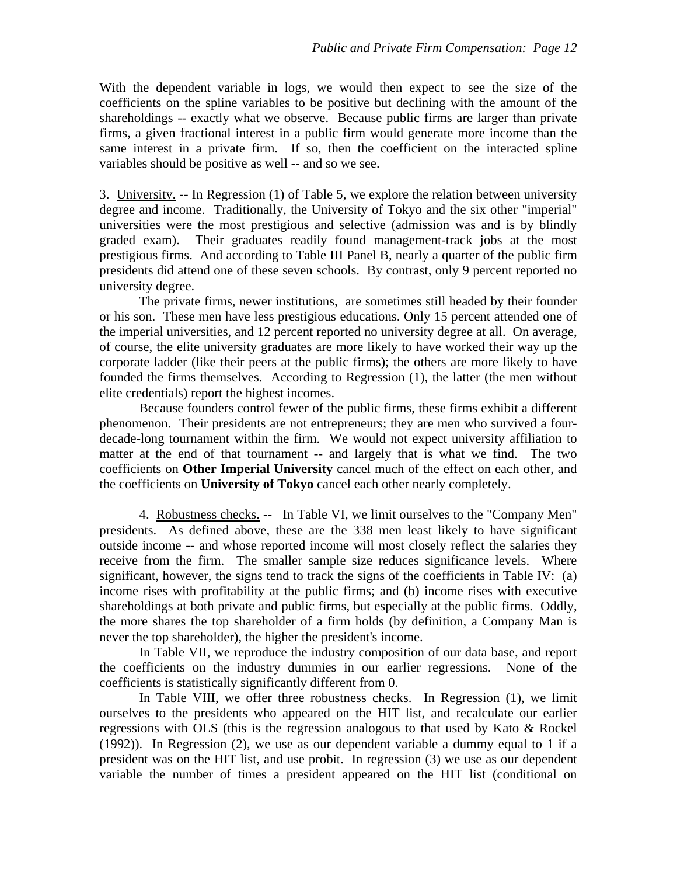With the dependent variable in logs, we would then expect to see the size of the coefficients on the spline variables to be positive but declining with the amount of the shareholdings -- exactly what we observe. Because public firms are larger than private firms, a given fractional interest in a public firm would generate more income than the same interest in a private firm. If so, then the coefficient on the interacted spline variables should be positive as well -- and so we see.

3. University. -- In Regression (1) of Table 5, we explore the relation between university degree and income. Traditionally, the University of Tokyo and the six other "imperial" universities were the most prestigious and selective (admission was and is by blindly graded exam). Their graduates readily found management-track jobs at the most prestigious firms. And according to Table III Panel B, nearly a quarter of the public firm presidents did attend one of these seven schools. By contrast, only 9 percent reported no university degree.

 The private firms, newer institutions, are sometimes still headed by their founder or his son. These men have less prestigious educations. Only 15 percent attended one of the imperial universities, and 12 percent reported no university degree at all. On average, of course, the elite university graduates are more likely to have worked their way up the corporate ladder (like their peers at the public firms); the others are more likely to have founded the firms themselves. According to Regression (1), the latter (the men without elite credentials) report the highest incomes.

 Because founders control fewer of the public firms, these firms exhibit a different phenomenon. Their presidents are not entrepreneurs; they are men who survived a fourdecade-long tournament within the firm. We would not expect university affiliation to matter at the end of that tournament -- and largely that is what we find. The two coefficients on **Other Imperial University** cancel much of the effect on each other, and the coefficients on **University of Tokyo** cancel each other nearly completely.

 4. Robustness checks. -- In Table VI, we limit ourselves to the "Company Men" presidents. As defined above, these are the 338 men least likely to have significant outside income -- and whose reported income will most closely reflect the salaries they receive from the firm. The smaller sample size reduces significance levels. Where significant, however, the signs tend to track the signs of the coefficients in Table IV: (a) income rises with profitability at the public firms; and (b) income rises with executive shareholdings at both private and public firms, but especially at the public firms. Oddly, the more shares the top shareholder of a firm holds (by definition, a Company Man is never the top shareholder), the higher the president's income.

 In Table VII, we reproduce the industry composition of our data base, and report the coefficients on the industry dummies in our earlier regressions. None of the coefficients is statistically significantly different from 0.

 In Table VIII, we offer three robustness checks. In Regression (1), we limit ourselves to the presidents who appeared on the HIT list, and recalculate our earlier regressions with OLS (this is the regression analogous to that used by Kato & Rockel (1992)). In Regression (2), we use as our dependent variable a dummy equal to 1 if a president was on the HIT list, and use probit. In regression (3) we use as our dependent variable the number of times a president appeared on the HIT list (conditional on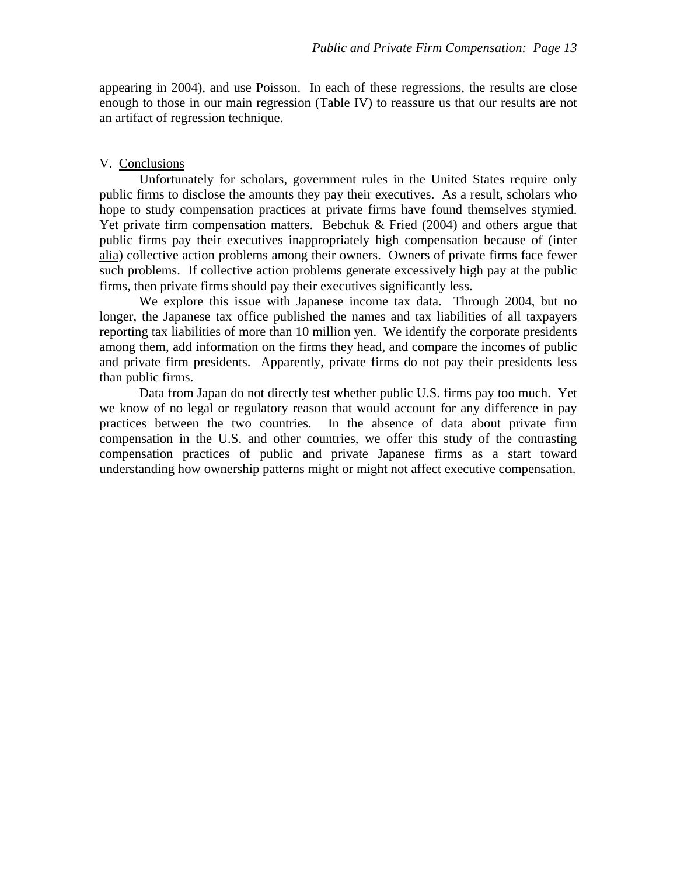appearing in 2004), and use Poisson. In each of these regressions, the results are close enough to those in our main regression (Table IV) to reassure us that our results are not an artifact of regression technique.

## V. Conclusions

 Unfortunately for scholars, government rules in the United States require only public firms to disclose the amounts they pay their executives. As a result, scholars who hope to study compensation practices at private firms have found themselves stymied. Yet private firm compensation matters. Bebchuk & Fried (2004) and others argue that public firms pay their executives inappropriately high compensation because of (inter alia) collective action problems among their owners. Owners of private firms face fewer such problems. If collective action problems generate excessively high pay at the public firms, then private firms should pay their executives significantly less.

 We explore this issue with Japanese income tax data. Through 2004, but no longer, the Japanese tax office published the names and tax liabilities of all taxpayers reporting tax liabilities of more than 10 million yen. We identify the corporate presidents among them, add information on the firms they head, and compare the incomes of public and private firm presidents. Apparently, private firms do not pay their presidents less than public firms.

 Data from Japan do not directly test whether public U.S. firms pay too much. Yet we know of no legal or regulatory reason that would account for any difference in pay practices between the two countries. In the absence of data about private firm compensation in the U.S. and other countries, we offer this study of the contrasting compensation practices of public and private Japanese firms as a start toward understanding how ownership patterns might or might not affect executive compensation.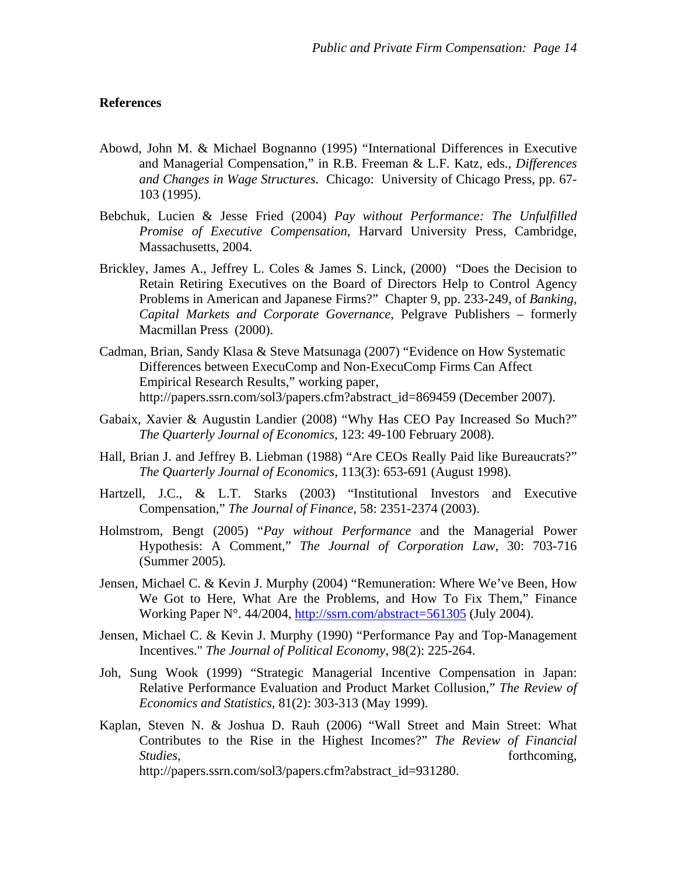### **References**

- Abowd, John M. & Michael Bognanno (1995) "International Differences in Executive and Managerial Compensation," in R.B. Freeman & L.F. Katz, eds., *Differences and Changes in Wage Structures*. Chicago: University of Chicago Press, pp. 67- 103 (1995).
- Bebchuk, Lucien & Jesse Fried (2004) *Pay without Performance: The Unfulfilled Promise of Executive Compensation*, Harvard University Press, Cambridge, Massachusetts, 2004.
- Brickley, James A., Jeffrey L. Coles & James S. Linck, (2000) "Does the Decision to Retain Retiring Executives on the Board of Directors Help to Control Agency Problems in American and Japanese Firms?" Chapter 9, pp. 233-249, of *Banking, Capital Markets and Corporate Governance*, Pelgrave Publishers – formerly Macmillan Press (2000).
- Cadman, Brian, Sandy Klasa & Steve Matsunaga (2007) "Evidence on How Systematic Differences between ExecuComp and Non-ExecuComp Firms Can Affect Empirical Research Results," working paper, http://papers.ssrn.com/sol3/papers.cfm?abstract\_id=869459 (December 2007).
- Gabaix, Xavier & Augustin Landier (2008) "Why Has CEO Pay Increased So Much?" *The Quarterly Journal of Economics*, 123: 49-100 February 2008).
- Hall, Brian J. and Jeffrey B. Liebman (1988) "Are CEOs Really Paid like Bureaucrats?" *The Quarterly Journal of Economics,* 113(3): 653-691 (August 1998).
- Hartzell, J.C., & L.T. Starks (2003) "Institutional Investors and Executive Compensation," *The Journal of Finance*, 58: 2351-2374 (2003).
- Holmstrom, Bengt (2005) "*Pay without Performance* and the Managerial Power Hypothesis: A Comment*,*" *The Journal of Corporation Law,* 30: 703-716 (Summer 2005)*.*
- Jensen, Michael C. & Kevin J. Murphy (2004) "Remuneration: Where We've Been, How We Got to Here, What Are the Problems, and How To Fix Them," Finance Working Paper N°. 44/2004, http://ssrn.com/abstract=561305 (July 2004).
- Jensen, Michael C. & Kevin J. Murphy (1990) "Performance Pay and Top-Management Incentives." *The Journal of Political Economy*, 98(2): 225-264.
- Joh, Sung Wook (1999) "Strategic Managerial Incentive Compensation in Japan: Relative Performance Evaluation and Product Market Collusion," *The Review of Economics and Statistics,* 81(2): 303-313 (May 1999).
- Kaplan, Steven N. & Joshua D. Rauh (2006) "Wall Street and Main Street: What Contributes to the Rise in the Highest Incomes?" *The Review of Financial Studies,* forthcoming, http://papers.ssrn.com/sol3/papers.cfm?abstract\_id=931280.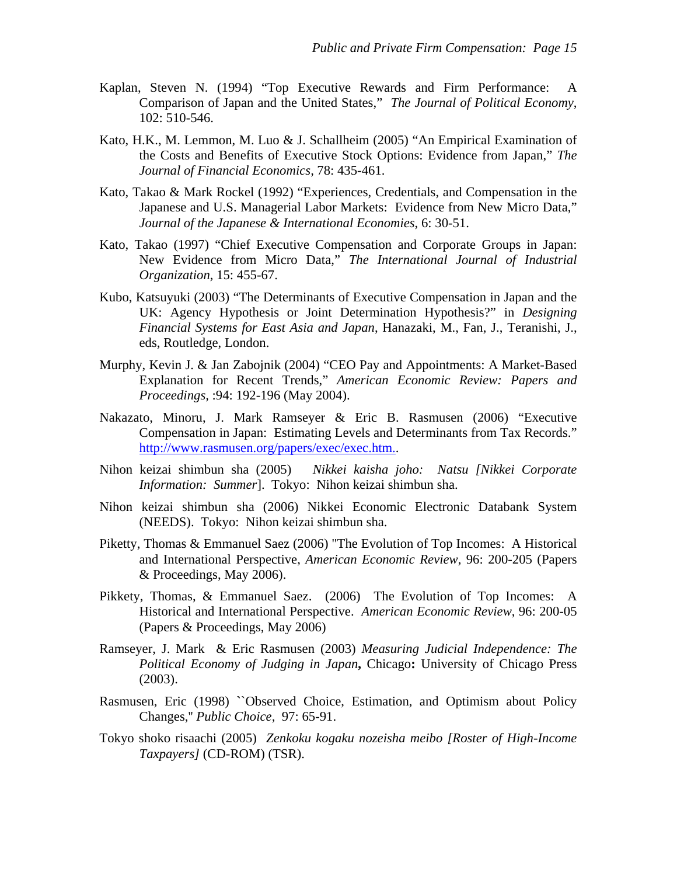- Kaplan, Steven N. (1994) "Top Executive Rewards and Firm Performance: A Comparison of Japan and the United States," *The Journal of Political Economy*, 102: 510-546.
- Kato, H.K., M. Lemmon, M. Luo & J. Schallheim (2005) "An Empirical Examination of the Costs and Benefits of Executive Stock Options: Evidence from Japan," *The Journal of Financial Economics,* 78: 435-461.
- Kato, Takao & Mark Rockel (1992) "Experiences, Credentials, and Compensation in the Japanese and U.S. Managerial Labor Markets: Evidence from New Micro Data," *Journal of the Japanese & International Economies*, 6: 30-51.
- Kato, Takao (1997) "Chief Executive Compensation and Corporate Groups in Japan: New Evidence from Micro Data," *The International Journal of Industrial Organization*, 15: 455-67.
- Kubo, Katsuyuki (2003) "The Determinants of Executive Compensation in Japan and the UK: Agency Hypothesis or Joint Determination Hypothesis?" in *Designing Financial Systems for East Asia and Japan*, Hanazaki, M., Fan, J., Teranishi, J., eds, Routledge, London.
- Murphy, Kevin J. & Jan Zabojnik (2004) "CEO Pay and Appointments: A Market-Based Explanation for Recent Trends," *American Economic Review: Papers and Proceedings,* :94: 192-196 (May 2004).
- Nakazato, Minoru, J. Mark Ramseyer & Eric B. Rasmusen (2006) "Executive Compensation in Japan: Estimating Levels and Determinants from Tax Records." http://www.rasmusen.org/papers/exec/exec.htm..
- Nihon keizai shimbun sha (2005) *Nikkei kaisha joho: Natsu [Nikkei Corporate Information: Summer*]. Tokyo: Nihon keizai shimbun sha.
- Nihon keizai shimbun sha (2006) Nikkei Economic Electronic Databank System (NEEDS). Tokyo: Nihon keizai shimbun sha.
- Piketty, Thomas & Emmanuel Saez (2006) "The Evolution of Top Incomes: A Historical and International Perspective, *American Economic Review*, 96: 200-205 (Papers & Proceedings, May 2006).
- Pikkety, Thomas, & Emmanuel Saez. (2006) The Evolution of Top Incomes: A Historical and International Perspective. *American Economic Review*, 96: 200-05 (Papers & Proceedings, May 2006)
- Ramseyer, J. Mark & Eric Rasmusen (2003) *Measuring Judicial Independence: The Political Economy of Judging in Japan***,** Chicago**:** University of Chicago Press (2003).
- Rasmusen, Eric (1998) **`**`Observed Choice, Estimation, and Optimism about Policy Changes,'' *Public Choice,* 97: 65-91.
- Tokyo shoko risaachi (2005) *Zenkoku kogaku nozeisha meibo [Roster of High-Income Taxpayers]* (CD-ROM) (TSR).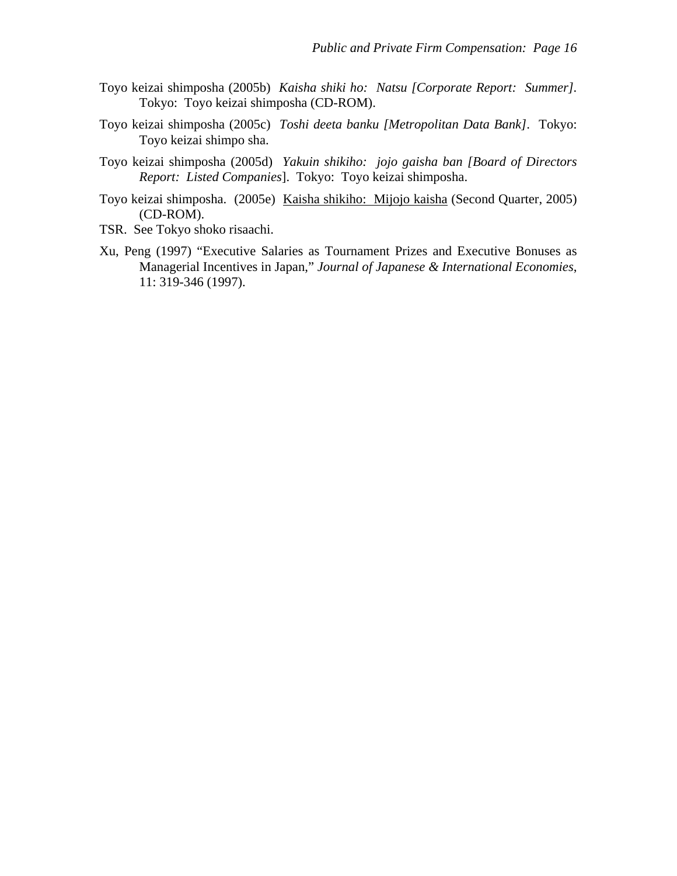- Toyo keizai shimposha (2005b) *Kaisha shiki ho: Natsu [Corporate Report: Summer].* Tokyo: Toyo keizai shimposha (CD-ROM).
- Toyo keizai shimposha (2005c) *Toshi deeta banku [Metropolitan Data Bank]*. Tokyo: Toyo keizai shimpo sha.
- Toyo keizai shimposha (2005d) *Yakuin shikiho: jojo gaisha ban [Board of Directors Report: Listed Companies*]. Tokyo: Toyo keizai shimposha.
- Toyo keizai shimposha. (2005e) Kaisha shikiho: Mijojo kaisha (Second Quarter, 2005) (CD-ROM).
- TSR. See Tokyo shoko risaachi.
- Xu, Peng (1997) "Executive Salaries as Tournament Prizes and Executive Bonuses as Managerial Incentives in Japan," *Journal of Japanese & International Economies*, 11: 319-346 (1997).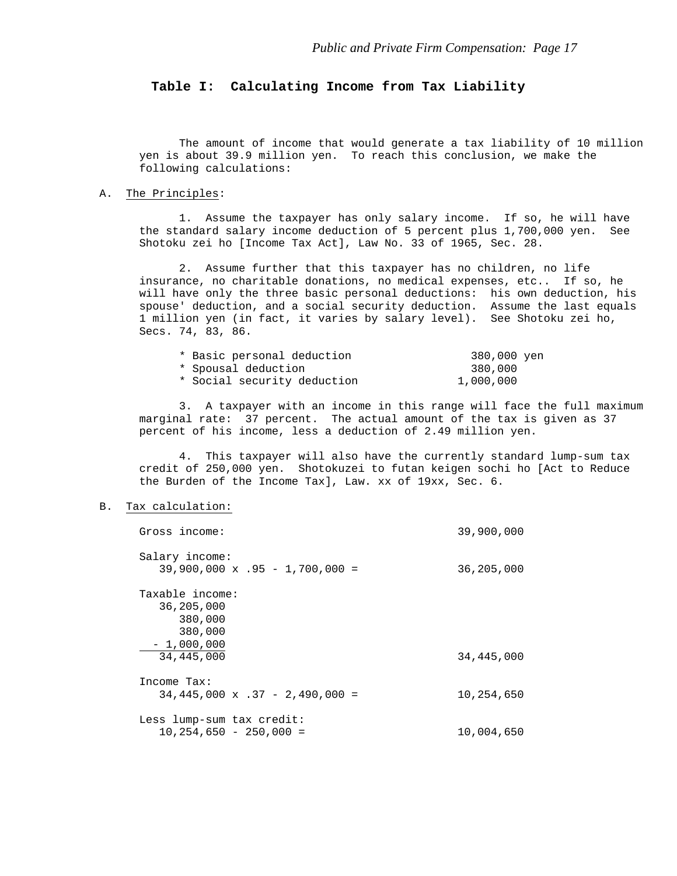#### **Table I: Calculating Income from Tax Liability**

 The amount of income that would generate a tax liability of 10 million yen is about 39.9 million yen. To reach this conclusion, we make the following calculations:

#### A. The Principles:

 1. Assume the taxpayer has only salary income. If so, he will have the standard salary income deduction of 5 percent plus 1,700,000 yen. See Shotoku zei ho [Income Tax Act], Law No. 33 of 1965, Sec. 28.

 2. Assume further that this taxpayer has no children, no life insurance, no charitable donations, no medical expenses, etc.. If so, he will have only the three basic personal deductions: his own deduction, his spouse' deduction, and a social security deduction. Assume the last equals 1 million yen (in fact, it varies by salary level). See Shotoku zei ho, Secs. 74, 83, 86.

| * Basic personal deduction  | 380,000 yen |
|-----------------------------|-------------|
| * Spousal deduction         | 380,000     |
| * Social security deduction | 1,000,000   |

 3. A taxpayer with an income in this range will face the full maximum marginal rate: 37 percent. The actual amount of the tax is given as 37 percent of his income, less a deduction of 2.49 million yen.

 4. This taxpayer will also have the currently standard lump-sum tax credit of 250,000 yen. Shotokuzei to futan keigen sochi ho [Act to Reduce the Burden of the Income Tax], Law. xx of 19xx, Sec. 6.

#### B. Tax calculation:

 Gross income: 39,900,000 Salary income:  $39,900,000 \times .95 - 1,700,000 =$  36,205,000 Taxable income: 36,205,000 380,000 380,000  $-1,000,000$  34,445,000 34,445,000 Income Tax:  $34,445,000 \times .37 - 2,490,000 =$  10,254,650 Less lump-sum tax credit: 10,254,650 - 250,000 = 10,004,650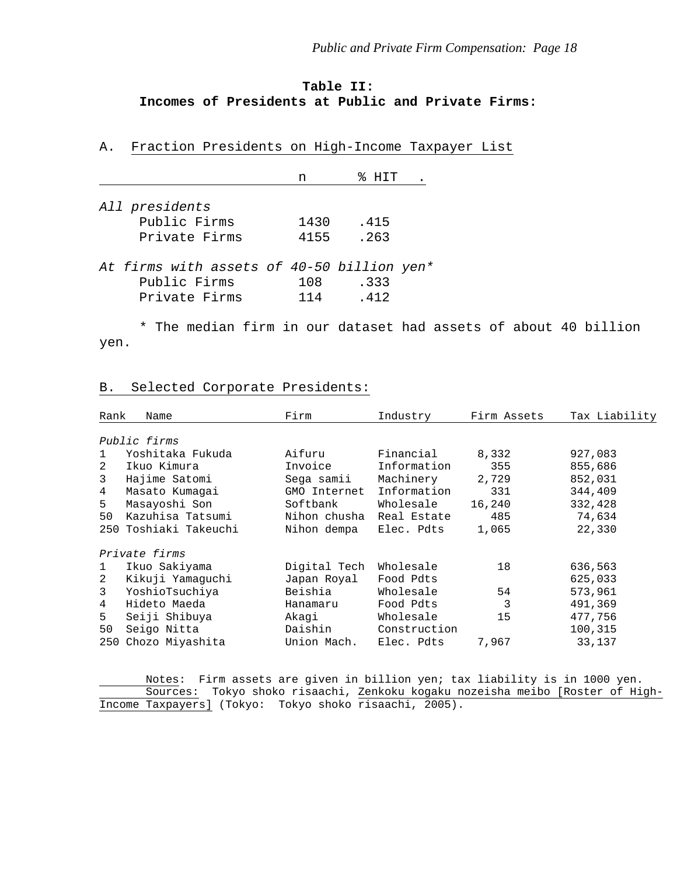## **Table II: Incomes of Presidents at Public and Private Firms:**

A. Fraction Presidents on High-Income Taxpayer List

|                                                                             | n            | °≈<br>HTT    |
|-----------------------------------------------------------------------------|--------------|--------------|
| All presidents<br>Public Firms<br>Private Firms                             | 1430<br>4155 | .415<br>.263 |
| At firms with assets of 40-50 billion yen*<br>Public Firms<br>Private Firms | 108<br>114   | .333<br>.412 |

 \* The median firm in our dataset had assets of about 40 billion yen.

### B. Selected Corporate Presidents:

| Rank | Name              | Firm         | Industry     | Firm Assets | Tax Liability |
|------|-------------------|--------------|--------------|-------------|---------------|
|      | Public firms      |              |              |             |               |
| 1    | Yoshitaka Fukuda  | Aifuru       | Financial    | 8,332       | 927,083       |
| 2    | Ikuo Kimura       | Invoice      | Information  | 355         | 855,686       |
| 3    | Hajime Satomi     | Sega samii   | Machinery    | 2,729       | 852,031       |
| 4    | Masato Kumaqai    | GMO Internet | Information  | 331         | 344,409       |
| 5    | Masayoshi Son     | Softbank     | Wholesale    | 16,240      | 332,428       |
| 50   | Kazuhisa Tatsumi  | Nihon chusha | Real Estate  | 485         | 74,634        |
| 250  | Toshiaki Takeuchi | Nihon dempa  | Elec. Pdts   | 1,065       | 22,330        |
|      | Private firms     |              |              |             |               |
| 1    | Ikuo Sakiyama     | Digital Tech | Wholesale    | 18          | 636,563       |
| 2    | Kikuji Yamaquchi  | Japan Royal  | Food Pdts    |             | 625,033       |
| 3    | YoshioTsuchiya    | Beishia      | Wholesale    | 54          | 573,961       |
| 4    | Hideto Maeda      | Hanamaru     | Food Pdts    | 3           | 491,369       |
| 5    | Seiji Shibuya     | Akaqi        | Wholesale    | 15          | 477,756       |
| 50   | Seigo Nitta       | Daishin      | Construction |             | 100,315       |
| 250  | Chozo Miyashita   | Union Mach.  | Elec. Pdts   | 7,967       | 33,137        |

 Notes: Firm assets are given in billion yen; tax liability is in 1000 yen. Sources: Tokyo shoko risaachi, Zenkoku kogaku nozeisha meibo [Roster of High-Income Taxpayers] (Tokyo: Tokyo shoko risaachi, 2005).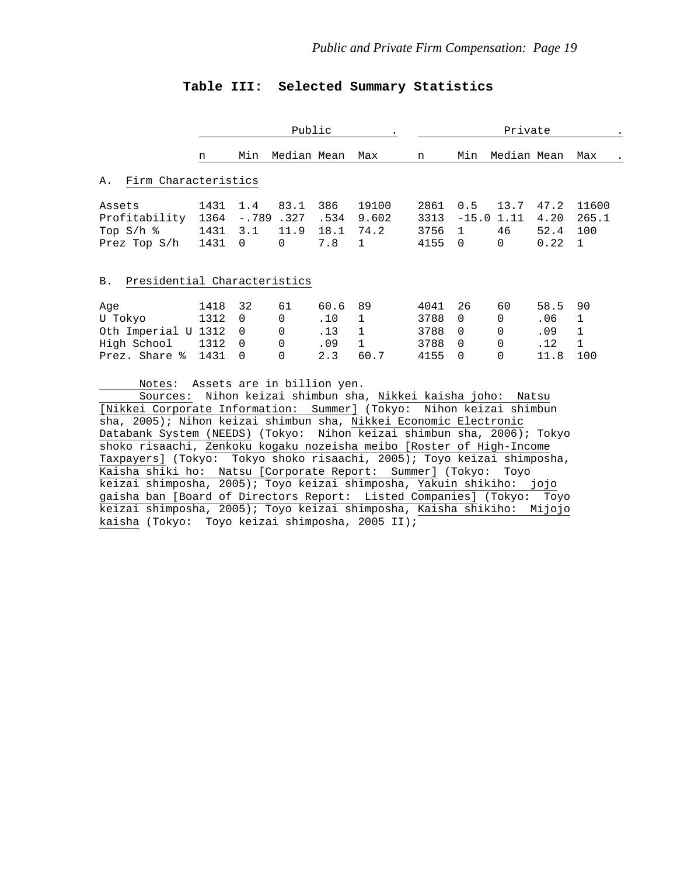### *Public and Private Firm Compensation: Page 19*

|                                           | Public |          |                            |      |       |      |              | Private     |      |              |
|-------------------------------------------|--------|----------|----------------------------|------|-------|------|--------------|-------------|------|--------------|
|                                           | n      | Min      | Median Mean                |      | Max   | n    | Min          | Median Mean |      | Max          |
| Firm Characteristics<br>Α.                |        |          |                            |      |       |      |              |             |      |              |
|                                           |        |          |                            |      |       |      |              |             |      |              |
| Assets                                    | 1431   | 1.4      | 83.1                       | 386  | 19100 | 2861 | 0.5          | 13.7        | 47.2 | 11600        |
| Profitability                             | 1364   | $-.789$  | .327                       | .534 | 9.602 | 3313 | $-15.0$      | 1.11        | 4.20 | 265.1        |
| Top S/h %                                 | 1431   | 3.1      | 11.9                       | 18.1 | 74.2  | 3756 | $\mathbf{1}$ | 46          | 52.4 | 100          |
| Prez Top S/h                              | 1431   | $\Omega$ | $\Omega$                   | 7.8  | 1     | 4155 | $\Omega$     | $\Omega$    | 0.22 | 1            |
|                                           |        |          |                            |      |       |      |              |             |      |              |
|                                           |        |          |                            |      |       |      |              |             |      |              |
| Presidential Characteristics<br><b>B.</b> |        |          |                            |      |       |      |              |             |      |              |
| Age                                       | 1418   | 32       | 61                         | 60.6 | 89    | 4041 | 26           | 60          | 58.5 | 90           |
| U Tokyo                                   | 1312   | $\Omega$ | $\Omega$                   | .10  | 1     | 3788 | $\Omega$     | $\Omega$    | .06  | $\mathbf{1}$ |
|                                           |        | $\Omega$ | $\mathbf 0$                | .13  | 1     |      | $\Omega$     | $\Omega$    |      | 1            |
| Oth Imperial U                            | 1312   |          |                            |      |       | 3788 |              |             | .09  |              |
| High School                               | 1312   | $\Omega$ | 0                          | .09  | 1     | 3788 | $\Omega$     | 0           | .12  | 1            |
| Prez. Share %                             | 1431   | $\Omega$ | $\Omega$                   | 2.3  | 60.7  | 4155 | $\Omega$     | $\Omega$    | 11.8 | 100          |
|                                           |        |          |                            |      |       |      |              |             |      |              |
| Notes:                                    |        |          | Assets are in billion yen. |      |       |      |              |             |      |              |

### **Table III: Selected Summary Statistics**

 Sources: Nihon keizai shimbun sha, Nikkei kaisha joho: Natsu [Nikkei Corporate Information: Summer] (Tokyo: Nihon keizai shimbun sha, 2005); Nihon keizai shimbun sha, Nikkei Economic Electronic Databank System (NEEDS) (Tokyo: Nihon keizai shimbun sha, 2006); Tokyo shoko risaachi, Zenkoku kogaku nozeisha meibo [Roster of High-Income Taxpayers] (Tokyo: Tokyo shoko risaachi, 2005); Toyo keizai shimposha, Kaisha shiki ho: Natsu [Corporate Report: Summer] (Tokyo: Toyo keizai shimposha, 2005); Toyo keizai shimposha, Yakuin shikiho: jojo gaisha ban [Board of Directors Report: Listed Companies] (Tokyo: Toyo keizai shimposha, 2005); Toyo keizai shimposha, Kaisha shikiho: Mijojo kaisha (Tokyo: Toyo keizai shimposha, 2005 II);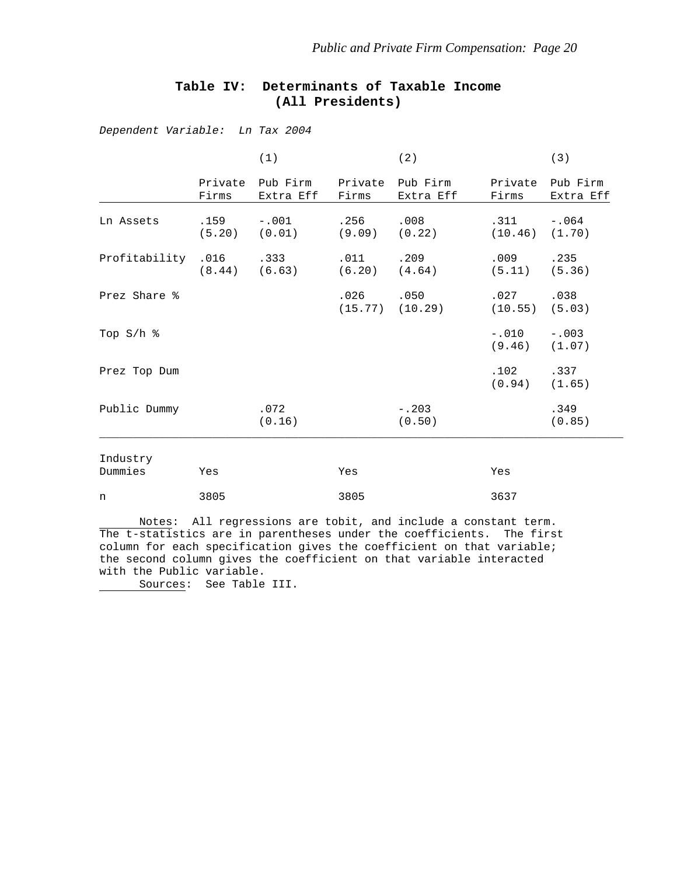|                         | (1)                                |                               |                | (2)                           |                            | (3)                           |
|-------------------------|------------------------------------|-------------------------------|----------------|-------------------------------|----------------------------|-------------------------------|
|                         | Firms                              | Private Pub Firm<br>Extra Eff | Firms          | Private Pub Firm<br>Extra Eff | Firms                      | Private Pub Firm<br>Extra Eff |
| Ln Assets               | $.159 - .001$<br>$(5.20)$ $(0.01)$ |                               | .256<br>(9.09) | .008<br>(0.22)                | .311<br>$(10.46)$ $(1.70)$ | $-.064$                       |
| Profitability .016 .333 | $(8.44)$ $(6.63)$                  |                               | .011<br>(6.20) | .209<br>(4.64)                | .009<br>(5.11)             | .235<br>(5.36)                |
| Prez Share %            |                                    |                               | .026           | .050<br>$(15.77)$ $(10.29)$   | .027<br>(10.55)            | .038<br>(5.03)                |
| Top $S/h$ %             |                                    |                               |                |                               | $-.010$<br>(9.46)          | $-.003$<br>(1.07)             |
| Prez Top Dum            |                                    |                               |                |                               | $.102 -$<br>(0.94)         | .337<br>(1.65)                |
| Public Dummy            |                                    | .072<br>(0.16)                |                | $-.203$<br>(0.50)             |                            | .349<br>(0.85)                |
| Industry<br>Dummies     | Yes                                |                               | Yes            |                               | Yes                        |                               |

## **Table IV: Determinants of Taxable Income (All Presidents)**

*Dependent Variable: Ln Tax 2004* 

 Notes: All regressions are tobit, and include a constant term. The t-statistics are in parentheses under the coefficients. The first column for each specification gives the coefficient on that variable; the second column gives the coefficient on that variable interacted with the Public variable.

n 3805 3805 3805 3805 3637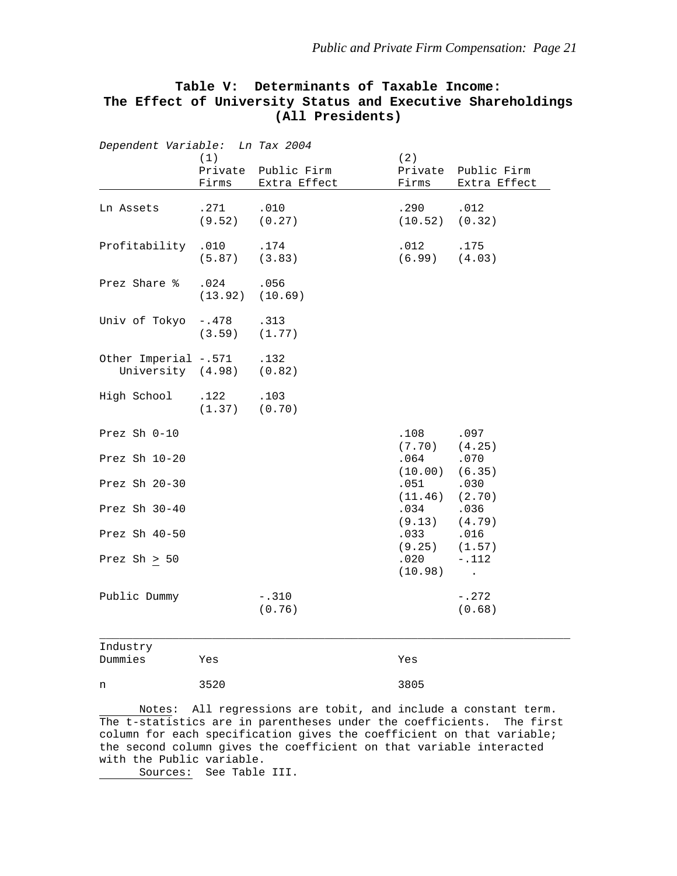| Dependent Variable: Ln Tax 2004<br>(2)<br>(1) |                    |                             |                           |                             |  |  |  |
|-----------------------------------------------|--------------------|-----------------------------|---------------------------|-----------------------------|--|--|--|
|                                               | Private<br>Firms   | Public Firm<br>Extra Effect | Private<br>Firms          | Public Firm<br>Extra Effect |  |  |  |
| Ln Assets                                     | .271<br>(9.52)     | .010<br>(0.27)              | .290<br>(10.52)           | .012<br>(0.32)              |  |  |  |
| Profitability                                 | .010<br>(5.87)     | .174<br>(3.83)              | .012<br>(6.99)            | .175<br>(4.03)              |  |  |  |
| Prez Share %                                  | .024<br>(13.92)    | .056<br>(10.69)             |                           |                             |  |  |  |
| Univ of Tokyo                                 | $- .478$<br>(3.59) | .313<br>(1.77)              |                           |                             |  |  |  |
| Other Imperial -.571<br>University (4.98)     |                    | .132<br>(0.82)              |                           |                             |  |  |  |
| High School                                   | .122<br>(1.37)     | .103<br>(0.70)              |                           |                             |  |  |  |
| Prez Sh 0-10                                  |                    |                             | .108<br>(7.70)            | .097<br>(4.25)              |  |  |  |
| Prez Sh 10-20                                 |                    |                             | .064<br>(10.00)           | .070<br>(6.35)              |  |  |  |
| Prez Sh 20-30                                 |                    |                             | .051                      | .030                        |  |  |  |
| Prez Sh 30-40                                 |                    |                             | (11.46)<br>.034           | (2.70)<br>.036              |  |  |  |
| Prez Sh $40-50$                               |                    |                             | (9.13)<br>.033            | (4.79)<br>.016              |  |  |  |
| Prez $Sh > 50$                                |                    |                             | (9.25)<br>.020<br>(10.98) | (1.57)<br>$-.112$<br>$\Box$ |  |  |  |
| Public Dummy                                  |                    | $-.310$<br>(0.76)           |                           | $-.272$<br>(0.68)           |  |  |  |
| Industry<br>Dummies                           | Yes                |                             | Yes                       |                             |  |  |  |

## **Table V: Determinants of Taxable Income: The Effect of University Status and Executive Shareholdings (All Presidents)**

 Notes: All regressions are tobit, and include a constant term. The t-statistics are in parentheses under the coefficients. The first column for each specification gives the coefficient on that variable; the second column gives the coefficient on that variable interacted with the Public variable.

Sources: See Table III.

n 3520 3805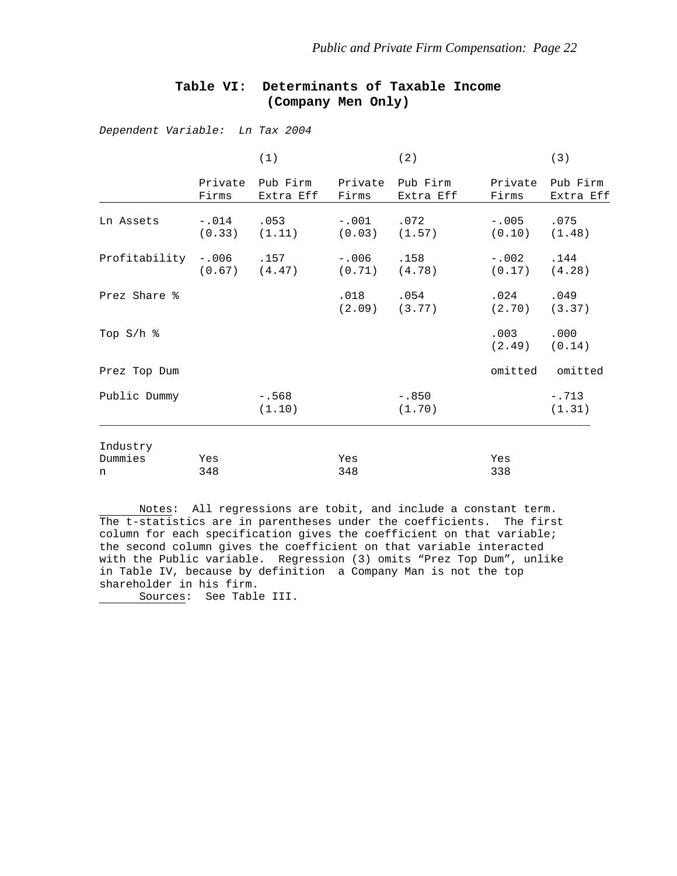|                          |              | (1)                                            |                           | (2)               |                   | (3)                   |
|--------------------------|--------------|------------------------------------------------|---------------------------|-------------------|-------------------|-----------------------|
|                          | Firms        | Private Pub Firm Private Pub Firm<br>Extra Eff | Firms                     | Extra Eff         | Private<br>Firms  | Pub Firm<br>Extra Eff |
| Ln Assets                | $-.014$ .053 | $(0.33)$ $(1.11)$                              | $-0.01$<br>(0.03)         | .072<br>(1.57)    | $-.005$<br>(0.10) | .075<br>(1.48)        |
| Profitability -.006 .157 |              | $(0.67)$ $(4.47)$ $(0.71)$ $(4.78)$            | $-.006$ .158              |                   | $-.002$<br>(0.17) | .144<br>(4.28)        |
| Prez Share %             |              |                                                | .018<br>$(2.09)$ $(3.77)$ | .054              | .024<br>(2.70)    | .049<br>(3.37)        |
| Top S/h %                |              |                                                |                           |                   | .003<br>(2.49)    | .000<br>(0.14)        |
| Prez Top Dum             |              |                                                |                           |                   |                   | omitted omitted       |
| Public Dummy             |              | $-.568$<br>(1.10)                              |                           | $-.850$<br>(1.70) |                   | $-.713$<br>(1.31)     |
| Industry<br>Dummies<br>n | Yes<br>348   |                                                | Yes<br>348                |                   | Yes<br>338        |                       |

## **Table VI: Determinants of Taxable Income (Company Men Only)**

*Dependent Variable: Ln Tax 2004* 

 Notes: All regressions are tobit, and include a constant term. The t-statistics are in parentheses under the coefficients. The first column for each specification gives the coefficient on that variable; the second column gives the coefficient on that variable interacted with the Public variable. Regression (3) omits "Prez Top Dum", unlike in Table IV, because by definition a Company Man is not the top shareholder in his firm.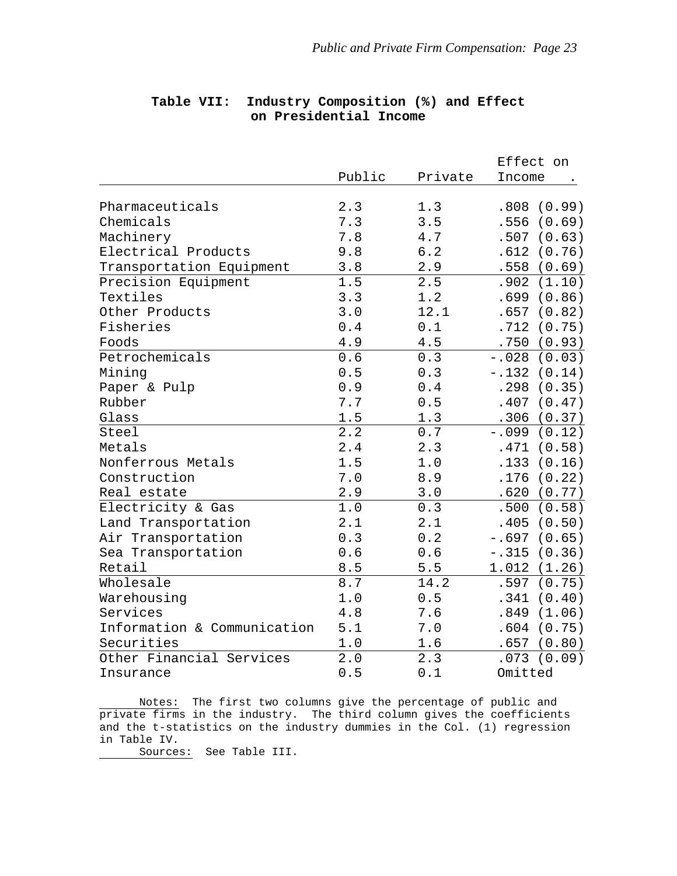|                             |         |         | Effect on         |
|-----------------------------|---------|---------|-------------------|
|                             | Public  | Private | Income            |
|                             |         |         |                   |
| Pharmaceuticals             | 2.3     | 1.3     | .808(0.99)        |
| Chemicals                   | 7.3     | 3.5     | (0.69)<br>.556    |
| Machinery                   | 7.8     | 4.7     | (0.63)<br>.507    |
| Electrical Products         | 9.8     | 6.2     | .612<br>(0.76)    |
| Transportation Equipment    | 3.8     | 2.9     | .558(0.69)        |
| Precision Equipment         | 1.5     | 2.5     | .902<br>(1.10)    |
| Textiles                    | 3.3     | 1.2     | (0.86)<br>.699    |
| Other Products              | 3.0     | 12.1    | (0.82)<br>.657    |
| Fisheries                   | 0.4     | 0.1     | .712<br>(0.75)    |
| Foods                       | 4.9     | 4.5     | .750<br>(0.93)    |
| Petrochemicals              | 0.6     | $0.3$   | $-.028$<br>(0.03) |
| Mining                      | 0.5     | 0.3     | $-.132$<br>(0.14) |
| Paper & Pulp                | 0.9     | 0.4     | .298<br>(0.35)    |
| Rubber                      | 7.7     | 0.5     | .407<br>(0.47)    |
| Glass                       | 1.5     | 1.3     | .306<br>(0.37)    |
| Steel                       | 2.2     | $0.7$   | $-.099$<br>(0.12) |
| Metals                      | $2\,.4$ | 2.3     | .471<br>(0.58)    |
| Nonferrous Metals           | 1.5     | 1.0     | .133<br>(0.16)    |
| Construction                | 7.0     | 8.9     | .176<br>(0.22)    |
| Real estate                 | 2.9     | $3.0$   | .620<br>(0.77)    |
| Electricity & Gas           | $1.0$   | 0.3     | .500<br>(0.58)    |
| Land Transportation         | 2.1     | 2.1     | (0.50)<br>.405    |
| Air Transportation          | 0.3     | 0.2     | $-.697$<br>(0.65) |
| Sea Transportation          | 0.6     | 0.6     | $-.315$<br>(0.36) |
| Retail                      | 8.5     | 5.5     | 1.012<br>(1.26)   |
| Wholesale                   | $8.7\,$ | 14.2    | .597<br>(0.75)    |
| Warehousing                 | 1.0     | 0.5     | .341<br>(0.40)    |
| Services                    | 4.8     | 7.6     | (1.06)<br>.849    |
| Information & Communication | 5.1     | 7.0     | .604<br>(0.75)    |
| Securities                  | 1.0     | 1.6     | .657<br>(0.80)    |
| Other Financial Services    | 2.0     | 2.3     | .073<br>(0.09)    |
| Insurance                   | 0.5     | $0.1$   | Omitted           |

## **Table VII: Industry Composition (%) and Effect on Presidential Income**

 Notes: The first two columns give the percentage of public and private firms in the industry. The third column gives the coefficients and the t-statistics on the industry dummies in the Col. (1) regression in Table IV.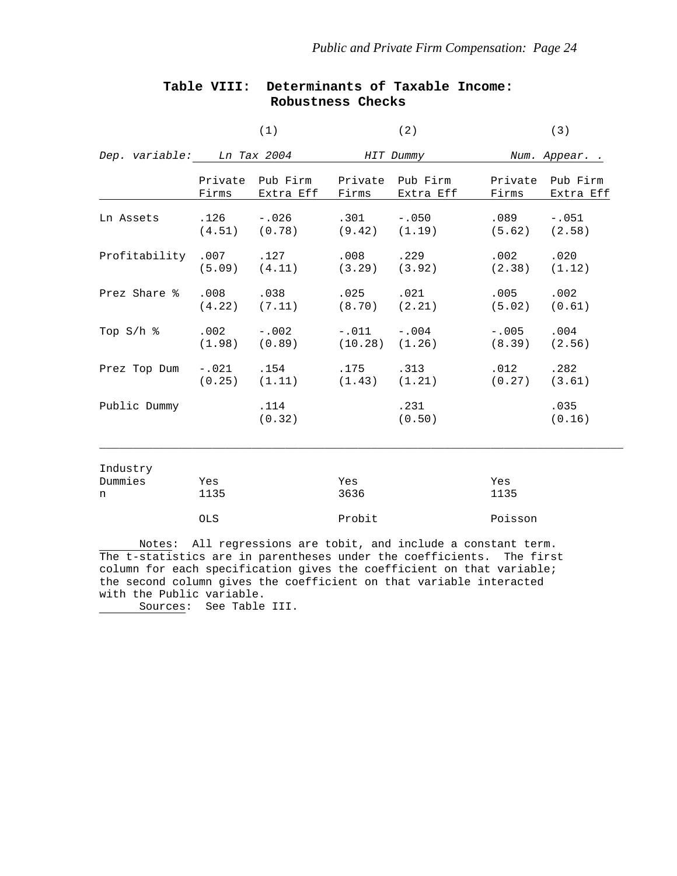|                                      |       | (1)                                                                        |               | (2)                                                                  | (3)<br>Num. Appear. .              |                  |  |
|--------------------------------------|-------|----------------------------------------------------------------------------|---------------|----------------------------------------------------------------------|------------------------------------|------------------|--|
| Dep. variable: Ln Tax 2004 HIT Dummy |       |                                                                            |               |                                                                      |                                    |                  |  |
|                                      | Firms | Extra Eff                                                                  |               | Private Pub Firm Private Pub Firm<br>Firms Extra Eff Firms Extra Eff |                                    | Private Pub Firm |  |
| Ln Assets                            |       | $.126 - .026$ $.301 - .050$                                                |               | $(4.51)$ $(0.78)$ $(9.42)$ $(1.19)$ $(5.62)$ $(2.58)$                | $.089 - .051$                      |                  |  |
| Profitability .007 .127              |       |                                                                            | $.008$ $.229$ | $(5.09)$ $(4.11)$ $(3.29)$ $(3.92)$ $(2.38)$ $(1.12)$                | .002                               | .020             |  |
| Prez Share % .008 .038 .025 .021     |       | $(4.22)$ $(7.11)$ $(8.70)$ $(2.21)$                                        |               |                                                                      | $.005$ $.002$<br>$(5.02)$ $(0.61)$ |                  |  |
| Top $S/h$ %                          |       | $0.002$ $-0.002$ $-0.011$ $-0.004$<br>$(1.98)$ $(0.89)$ $(10.28)$ $(1.26)$ |               |                                                                      | $-.005-.004$<br>$(8.39)$ $(2.56)$  |                  |  |
| Prez Top Dum -.021 .154 .175 .313    |       |                                                                            |               | $(0.25)$ $(1.11)$ $(1.43)$ $(1.21)$ $(0.27)$ $(3.61)$                | $.012$ $.282$                      |                  |  |
| Public Dummy                         |       | .114<br>(0.32)                                                             |               | .231<br>(0.50)                                                       |                                    | .035<br>(0.16)   |  |
| Industry<br>Dummies                  | Yes   |                                                                            | Yes           |                                                                      | Yes                                |                  |  |
| n                                    | 1135  |                                                                            | 3636          |                                                                      | 1135                               |                  |  |
|                                      | OLS   |                                                                            | Probit        |                                                                      | Poisson                            |                  |  |

## **Table VIII: Determinants of Taxable Income: Robustness Checks**

 Notes: All regressions are tobit, and include a constant term. The t-statistics are in parentheses under the coefficients. The first column for each specification gives the coefficient on that variable; the second column gives the coefficient on that variable interacted with the Public variable.